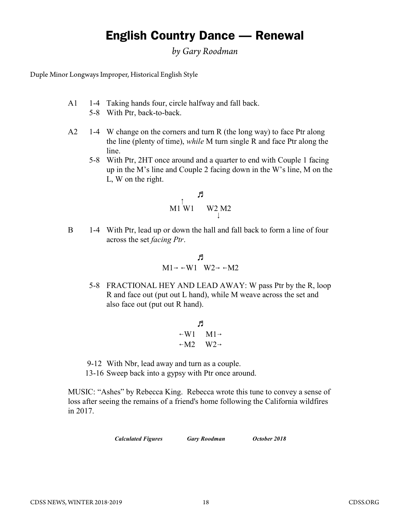## English Country Dance — Renewal

RENEWAL *by Gary Roodman* Duple Minor Longways Improper

 $\mathbf{F}$  is  $\mathbf{F}$  style  $\mathbf{F}$ Duple Minor Longways Improper, Historical English Style

- A1 1-4 Taking hands four, circle halfway and fall back.
	- 5-8 With Ptr, back-to-back.
- A2 1-4 W change on the corners and turn R (the long way) to face Ptr along the line (plenty of time), while M turn single R and face Ptr along the line.
	- 5-8 With Ptr, 2HT once around and a quarter to end with Couple 1 facing up in the M's line and Couple 2 facing down in the W's line, M on the L, W on the right.

$$
\begin{array}{cc}\n & \pi \\
M1 \text{ W1} & W2 \text{ M2}\n\end{array}
$$

B 1-4 With Ptr, lead up or down the hall and fall back to form a line of four across the set facing Ptr.

$$
\begin{matrix} & & \\ \text{M1} \rightarrow & -W1 & W2 \rightarrow & -M2 \end{matrix}
$$

5-8 FRACTIONAL HEY AND LEAD AWAY: W pass Ptr by the R, loop R and face out (put out L hand), while M weave across the set and also face out (put out R hand).

$$
\begin{array}{c}\n \mathbf{F} \\
 \mathbf{W1} \quad \mathbf{M1} \rightarrow \\
 \mathbf{M2} \quad \mathbf{W2} \rightarrow\n \end{array}
$$

9-12 With Nbr, lead away and turn as a couple.

13-16 Sweep back into a gypsy with Ptr once around.

MUSIC: "Ashes" by Rebecca King. Rebecca wrote this tune to convey a sense of loss after seeing the remains of a friend's home following the California wildfires in 2017.

Calculated Figures Gary Roodman October 2018